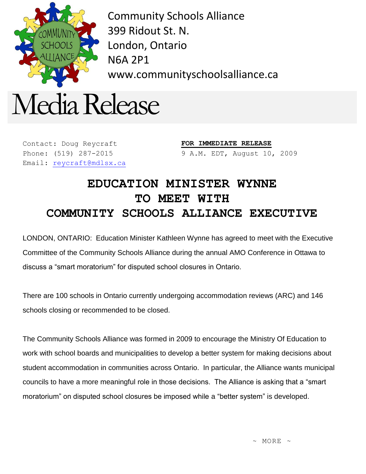

Community Schools Alliance 399 Ridout St. N. London, Ontario N6A 2P1 www.communityschoolsalliance.ca



Contact: Doug Reycraft Phone: (519) 287-2015 Email: [reycraft@mdlsx.ca](mailto:reycraft@mdlsx.ca) **FOR IMMEDIATE RELEASE** 9 A.M. EDT, August 10, 2009

## **EDUCATION MINISTER WYNNE TO MEET WITH COMMUNITY SCHOOLS ALLIANCE EXECUTIVE**

LONDON, ONTARIO: Education Minister Kathleen Wynne has agreed to meet with the Executive Committee of the Community Schools Alliance during the annual AMO Conference in Ottawa to discuss a "smart moratorium" for disputed school closures in Ontario.

There are 100 schools in Ontario currently undergoing accommodation reviews (ARC) and 146 schools closing or recommended to be closed.

The Community Schools Alliance was formed in 2009 to encourage the Ministry Of Education to work with school boards and municipalities to develop a better system for making decisions about student accommodation in communities across Ontario. In particular, the Alliance wants municipal councils to have a more meaningful role in those decisions. The Alliance is asking that a "smart moratorium" on disputed school closures be imposed while a "better system" is developed.